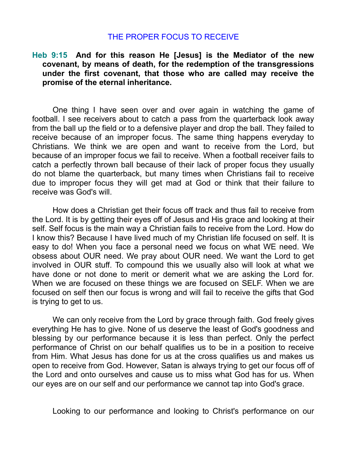## THE PROPER FOCUS TO RECEIVE

## **Heb 9:15 And for this reason He [Jesus] is the Mediator of the new covenant, by means of death, for the redemption of the transgressions under the first covenant, that those who are called may receive the promise of the eternal inheritance.**

One thing I have seen over and over again in watching the game of football. I see receivers about to catch a pass from the quarterback look away from the ball up the field or to a defensive player and drop the ball. They failed to receive because of an improper focus. The same thing happens everyday to Christians. We think we are open and want to receive from the Lord, but because of an improper focus we fail to receive. When a football receiver fails to catch a perfectly thrown ball because of their lack of proper focus they usually do not blame the quarterback, but many times when Christians fail to receive due to improper focus they will get mad at God or think that their failure to receive was God's will.

How does a Christian get their focus off track and thus fail to receive from the Lord. It is by getting their eyes off of Jesus and His grace and looking at their self. Self focus is the main way a Christian fails to receive from the Lord. How do I know this? Because I have lived much of my Christian life focused on self. It is easy to do! When you face a personal need we focus on what WE need. We obsess about OUR need. We pray about OUR need. We want the Lord to get involved in OUR stuff. To compound this we usually also will look at what we have done or not done to merit or demerit what we are asking the Lord for. When we are focused on these things we are focused on SELF. When we are focused on self then our focus is wrong and will fail to receive the gifts that God is trying to get to us.

We can only receive from the Lord by grace through faith. God freely gives everything He has to give. None of us deserve the least of God's goodness and blessing by our performance because it is less than perfect. Only the perfect performance of Christ on our behalf qualifies us to be in a position to receive from Him. What Jesus has done for us at the cross qualifies us and makes us open to receive from God. However, Satan is always trying to get our focus off of the Lord and onto ourselves and cause us to miss what God has for us. When our eyes are on our self and our performance we cannot tap into God's grace.

Looking to our performance and looking to Christ's performance on our